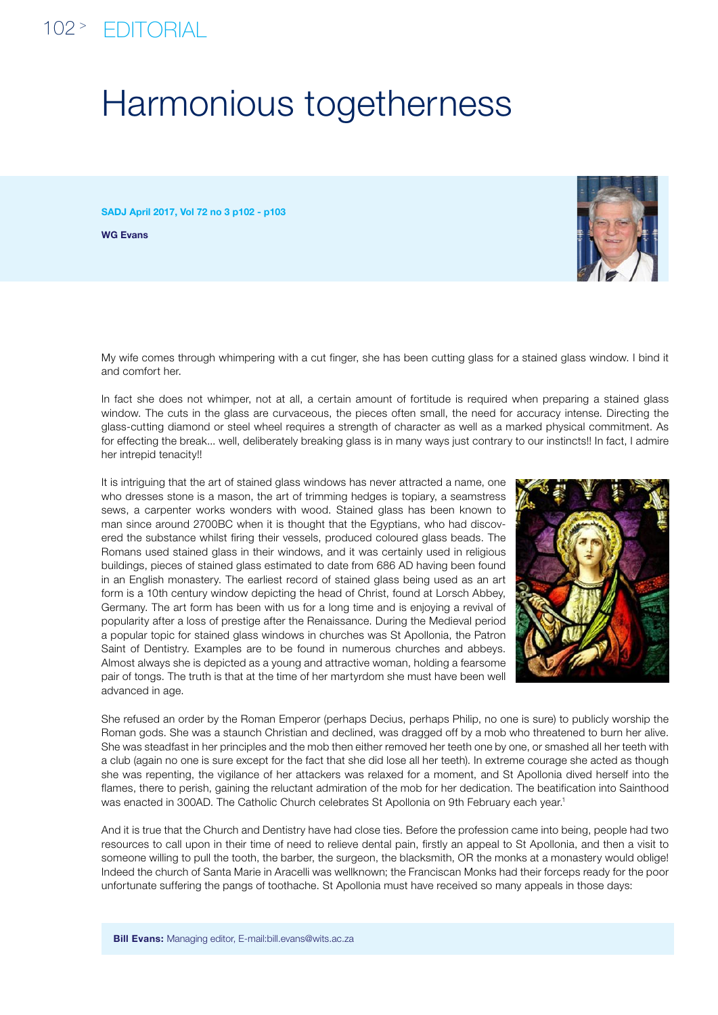## 102 <sup>&</sup>gt; editorial

## Harmonious togetherness

SADJ April 2017, Vol 72 no 3 p102 - p103

WG Evans



My wife comes through whimpering with a cut finger, she has been cutting glass for a stained glass window. I bind it and comfort her.

In fact she does not whimper, not at all, a certain amount of fortitude is required when preparing a stained glass window. The cuts in the glass are curvaceous, the pieces often small, the need for accuracy intense. Directing the glass-cutting diamond or steel wheel requires a strength of character as well as a marked physical commitment. As for effecting the break... well, deliberately breaking glass is in many ways just contrary to our instincts!! In fact, I admire her intrepid tenacity!!

It is intriguing that the art of stained glass windows has never attracted a name, one who dresses stone is a mason, the art of trimming hedges is topiary, a seamstress sews, a carpenter works wonders with wood. Stained glass has been known to man since around 2700BC when it is thought that the Egyptians, who had discovered the substance whilst firing their vessels, produced coloured glass beads. The Romans used stained glass in their windows, and it was certainly used in religious buildings, pieces of stained glass estimated to date from 686 AD having been found in an English monastery. The earliest record of stained glass being used as an art form is a 10th century window depicting the head of Christ, found at Lorsch Abbey, Germany. The art form has been with us for a long time and is enjoying a revival of popularity after a loss of prestige after the Renaissance. During the Medieval period a popular topic for stained glass windows in churches was St Apollonia, the Patron Saint of Dentistry. Examples are to be found in numerous churches and abbeys. Almost always she is depicted as a young and attractive woman, holding a fearsome pair of tongs. The truth is that at the time of her martyrdom she must have been well advanced in age.



She refused an order by the Roman Emperor (perhaps Decius, perhaps Philip, no one is sure) to publicly worship the Roman gods. She was a staunch Christian and declined, was dragged off by a mob who threatened to burn her alive. She was steadfast in her principles and the mob then either removed her teeth one by one, or smashed all her teeth with a club (again no one is sure except for the fact that she did lose all her teeth). In extreme courage she acted as though she was repenting, the vigilance of her attackers was relaxed for a moment, and St Apollonia dived herself into the flames, there to perish, gaining the reluctant admiration of the mob for her dedication. The beatification into Sainthood was enacted in 300AD. The Catholic Church celebrates St Apollonia on 9th February each year.1

And it is true that the Church and Dentistry have had close ties. Before the profession came into being, people had two resources to call upon in their time of need to relieve dental pain, firstly an appeal to St Apollonia, and then a visit to someone willing to pull the tooth, the barber, the surgeon, the blacksmith, OR the monks at a monastery would oblige! Indeed the church of Santa Marie in Aracelli was wellknown; the Franciscan Monks had their forceps ready for the poor unfortunate suffering the pangs of toothache. St Apollonia must have received so many appeals in those days: